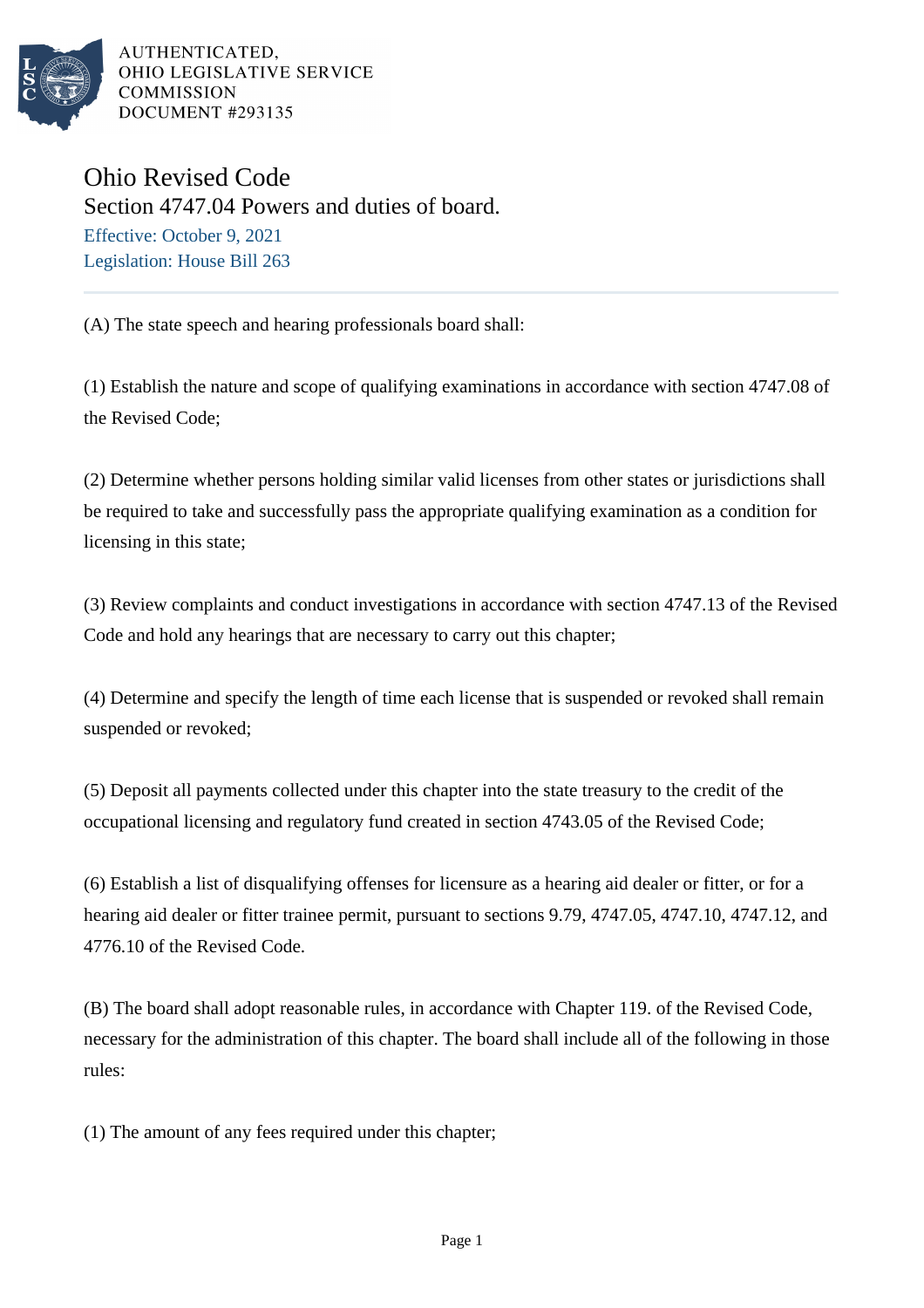

AUTHENTICATED. OHIO LEGISLATIVE SERVICE **COMMISSION** DOCUMENT #293135

Ohio Revised Code Section 4747.04 Powers and duties of board. Effective: October 9, 2021 Legislation: House Bill 263

(A) The state speech and hearing professionals board shall:

(1) Establish the nature and scope of qualifying examinations in accordance with section 4747.08 of the Revised Code;

(2) Determine whether persons holding similar valid licenses from other states or jurisdictions shall be required to take and successfully pass the appropriate qualifying examination as a condition for licensing in this state;

(3) Review complaints and conduct investigations in accordance with section 4747.13 of the Revised Code and hold any hearings that are necessary to carry out this chapter;

(4) Determine and specify the length of time each license that is suspended or revoked shall remain suspended or revoked;

(5) Deposit all payments collected under this chapter into the state treasury to the credit of the occupational licensing and regulatory fund created in section 4743.05 of the Revised Code;

(6) Establish a list of disqualifying offenses for licensure as a hearing aid dealer or fitter, or for a hearing aid dealer or fitter trainee permit, pursuant to sections 9.79, 4747.05, 4747.10, 4747.12, and 4776.10 of the Revised Code.

(B) The board shall adopt reasonable rules, in accordance with Chapter 119. of the Revised Code, necessary for the administration of this chapter. The board shall include all of the following in those rules:

(1) The amount of any fees required under this chapter;